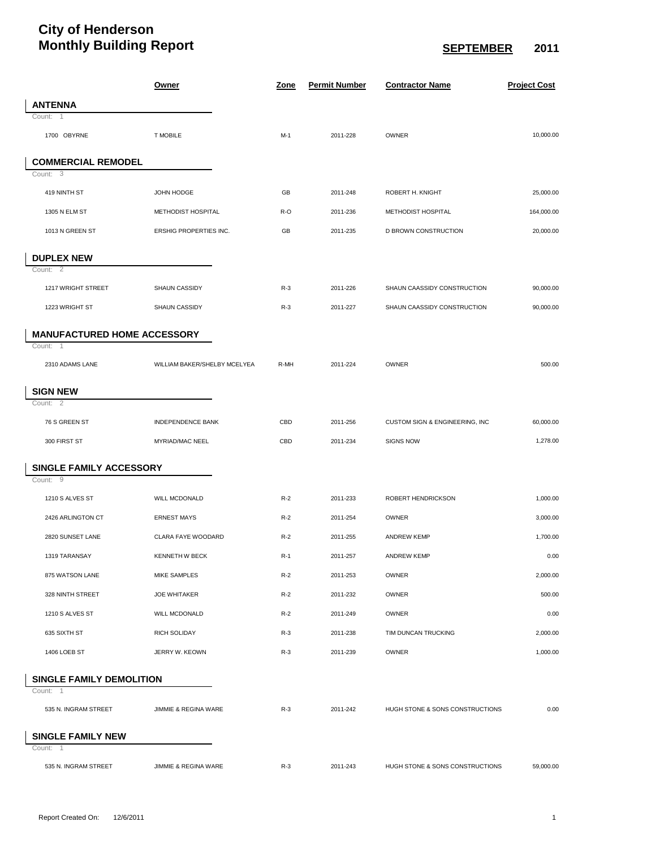## **City of Henderson Monthly Building Report SEPTEMBER** 2011

|                                    | <u>Owner</u>                 | <u>Zone</u> | <b>Permit Number</b> | <b>Contractor Name</b>          | <b>Project Cost</b> |
|------------------------------------|------------------------------|-------------|----------------------|---------------------------------|---------------------|
| <b>ANTENNA</b>                     |                              |             |                      |                                 |                     |
| Count: 1                           |                              |             |                      |                                 |                     |
| 1700 OBYRNE                        | <b>T MOBILE</b>              | $M-1$       | 2011-228             | OWNER                           | 10,000.00           |
| <b>COMMERCIAL REMODEL</b>          |                              |             |                      |                                 |                     |
| Count: 3                           |                              |             |                      |                                 |                     |
| 419 NINTH ST                       | JOHN HODGE                   | GB          | 2011-248             | ROBERT H. KNIGHT                | 25,000.00           |
| 1305 N ELM ST                      | METHODIST HOSPITAL           | R-O         | 2011-236             | METHODIST HOSPITAL              | 164,000.00          |
| 1013 N GREEN ST                    | ERSHIG PROPERTIES INC.       | GB          | 2011-235             | D BROWN CONSTRUCTION            | 20,000.00           |
| <b>DUPLEX NEW</b>                  |                              |             |                      |                                 |                     |
| Count: 2                           |                              |             |                      |                                 |                     |
| 1217 WRIGHT STREET                 | SHAUN CASSIDY                | $R-3$       | 2011-226             | SHAUN CAASSIDY CONSTRUCTION     | 90,000.00           |
| 1223 WRIGHT ST                     | SHAUN CASSIDY                | $R-3$       | 2011-227             | SHAUN CAASSIDY CONSTRUCTION     | 90,000.00           |
| <b>MANUFACTURED HOME ACCESSORY</b> |                              |             |                      |                                 |                     |
| Count: 1                           |                              |             |                      |                                 |                     |
| 2310 ADAMS LANE                    | WILLIAM BAKER/SHELBY MCELYEA | R-MH        | 2011-224             | OWNER                           | 500.00              |
| <b>SIGN NEW</b>                    |                              |             |                      |                                 |                     |
| Count: $\overline{2}$              |                              |             |                      |                                 |                     |
| 76 S GREEN ST                      | <b>INDEPENDENCE BANK</b>     | CBD         | 2011-256             | CUSTOM SIGN & ENGINEERING, INC  | 60,000.00           |
| 300 FIRST ST                       | MYRIAD/MAC NEEL              | CBD         | 2011-234             | <b>SIGNS NOW</b>                | 1,278.00            |
| SINGLE FAMILY ACCESSORY            |                              |             |                      |                                 |                     |
| Count: 9                           |                              |             |                      |                                 |                     |
| 1210 S ALVES ST                    | <b>WILL MCDONALD</b>         | $R-2$       | 2011-233             | ROBERT HENDRICKSON              | 1,000.00            |
| 2426 ARLINGTON CT                  | <b>ERNEST MAYS</b>           | $R-2$       | 2011-254             | OWNER                           | 3,000.00            |
| 2820 SUNSET LANE                   | CLARA FAYE WOODARD           | $R-2$       | 2011-255             | <b>ANDREW KEMP</b>              | 1,700.00            |
| 1319 TARANSAY                      | <b>KENNETH W BECK</b>        | $R-1$       | 2011-257             | <b>ANDREW KEMP</b>              | 0.00                |
| 875 WATSON LANE                    | MIKE SAMPLES                 | $R-2$       | 2011-253             | OWNER                           | 2,000.00            |
| 328 NINTH STREET                   | <b>JOE WHITAKER</b>          | $R-2$       | 2011-232             | OWNER                           | 500.00              |
| 1210 S ALVES ST                    | WILL MCDONALD                | $R-2$       | 2011-249             | OWNER                           | 0.00                |
| 635 SIXTH ST                       | <b>RICH SOLIDAY</b>          | $R-3$       | 2011-238             | TIM DUNCAN TRUCKING             | 2,000.00            |
| 1406 LOEB ST                       | JERRY W. KEOWN               | $R-3$       | 2011-239             | OWNER                           | 1,000.00            |
| <b>SINGLE FAMILY DEMOLITION</b>    |                              |             |                      |                                 |                     |
| Count: 1                           |                              |             |                      |                                 |                     |
| 535 N. INGRAM STREET               | JIMMIE & REGINA WARE         | $R-3$       | 2011-242             | HUGH STONE & SONS CONSTRUCTIONS | 0.00                |
| <b>SINGLE FAMILY NEW</b>           |                              |             |                      |                                 |                     |
| Count: 1                           |                              |             |                      |                                 |                     |
| 535 N. INGRAM STREET               | JIMMIE & REGINA WARE         | $R-3$       | 2011-243             | HUGH STONE & SONS CONSTRUCTIONS | 59,000.00           |